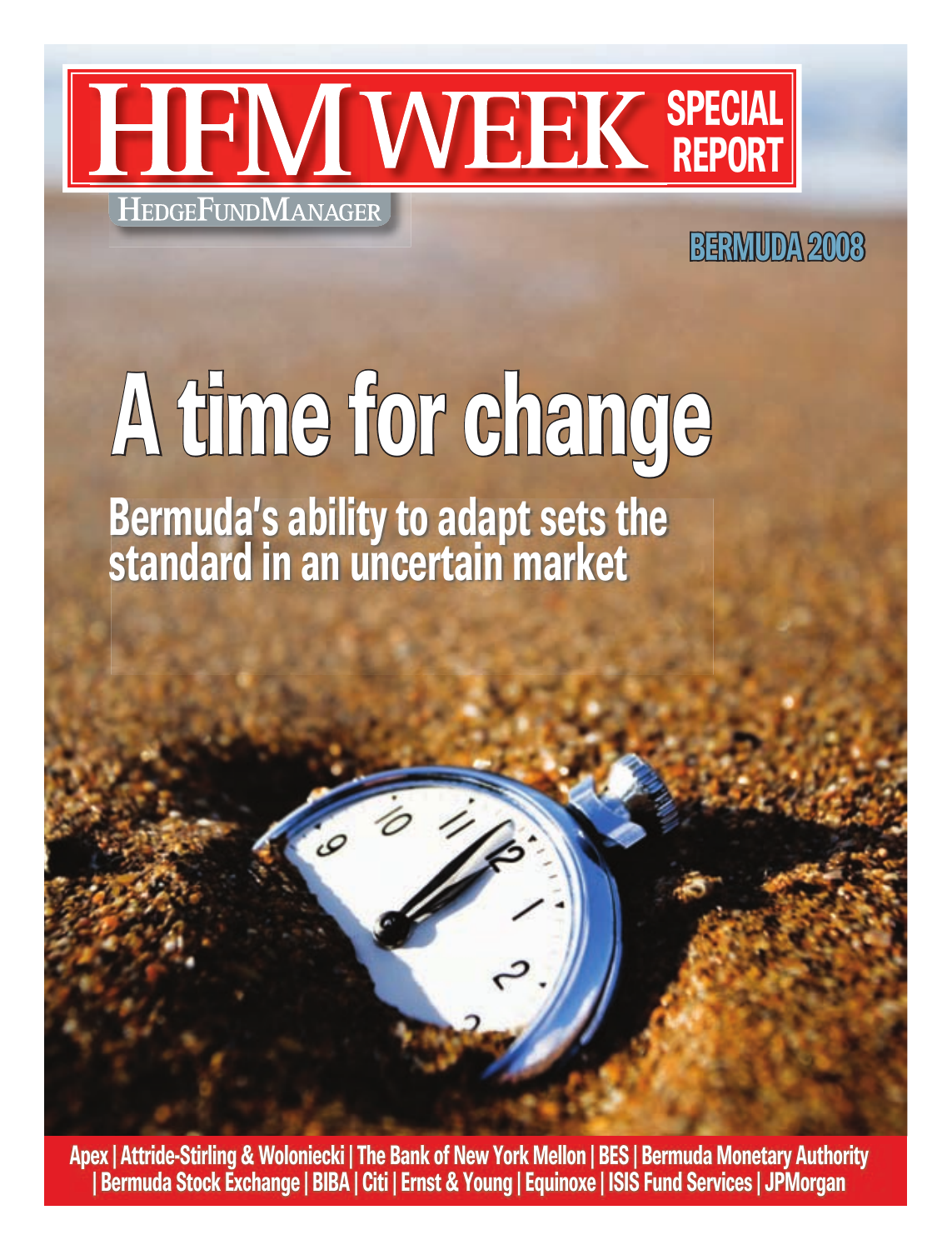

## **BErMudA 2008**

## **A time for change Bermuda's ability to adapt sets the standard in an uncertain market**

**Apex | Attride-Stirling & Woloniecki | The Bank of New York Mellon | BES | Bermuda Monetary Authority | Bermuda Stock Exchange | BIBA | Citi | Ernst & Young | Equinoxe | ISIS Fund Services | JPMorgan**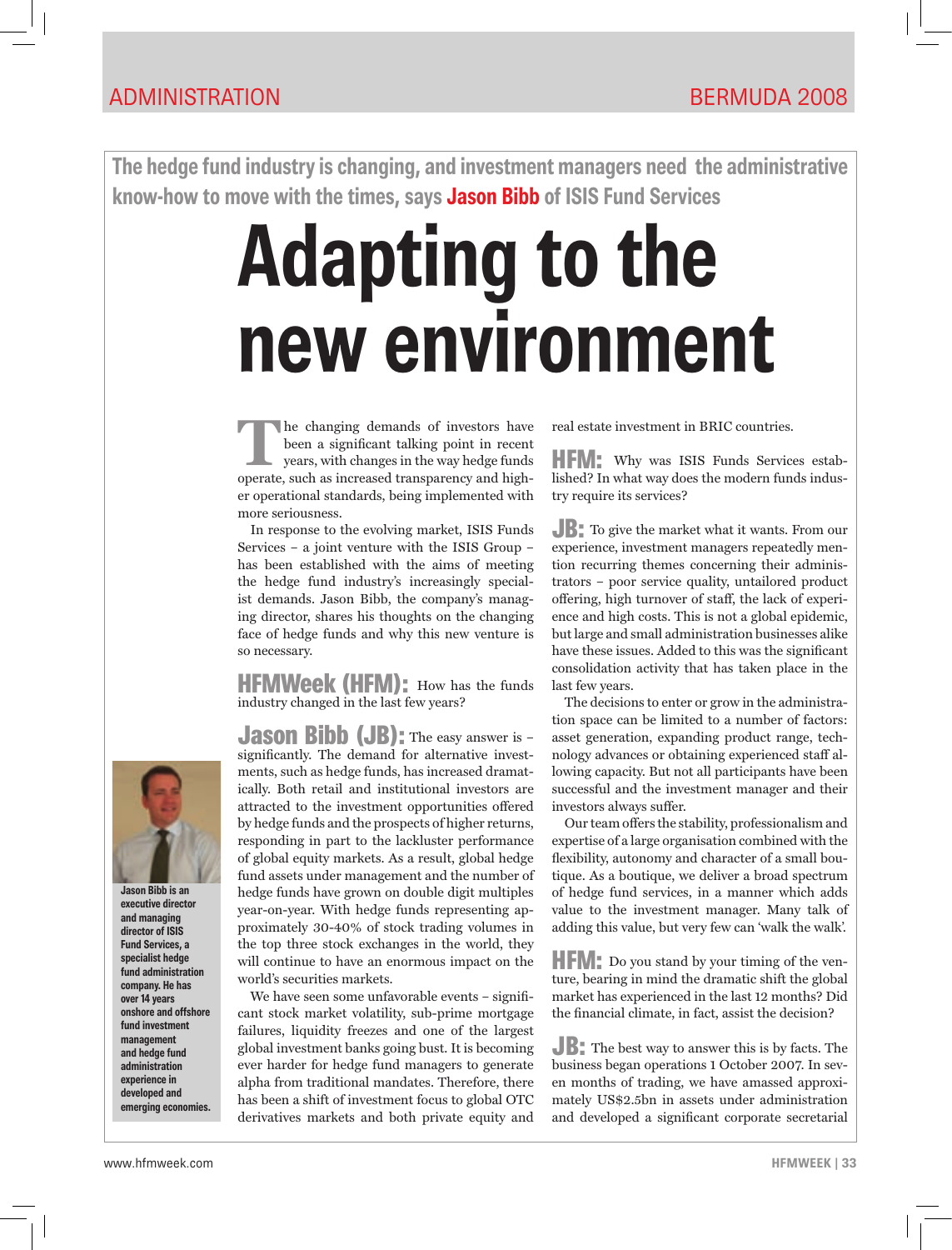**The hedge fund industry is changing, and investment managers need the administrative know-how to move with the times, says Jason Bibb of ISIS Fund Services**

## **Adapting to the new environment**

The changing demands of investors have<br>
been a significant talking point in recent<br>
years, with changes in the way hedge funds<br>
aparets, such as increased transparency and high been a significant talking point in recent operate, such as increased transparency and higher operational standards, being implemented with more seriousness.

In response to the evolving market, ISIS Funds Services – a joint venture with the ISIS Group – has been established with the aims of meeting the hedge fund industry's increasingly specialist demands. Jason Bibb, the company's managing director, shares his thoughts on the changing face of hedge funds and why this new venture is so necessary.

**HFMWeek (HFM):** How has the funds industry changed in the last few years?

**Jason Bibb (JB)**: The easy answer is significantly. The demand for alternative investments, such as hedge funds, has increased dramatically. Both retail and institutional investors are attracted to the investment opportunities offered by hedge funds and the prospects of higher returns, responding in part to the lackluster performance of global equity markets. As a result, global hedge fund assets under management and the number of hedge funds have grown on double digit multiples year-on-year. With hedge funds representing approximately 30-40% of stock trading volumes in the top three stock exchanges in the world, they will continue to have an enormous impact on the world's securities markets.

We have seen some unfavorable events – significant stock market volatility, sub-prime mortgage failures, liquidity freezes and one of the largest global investment banks going bust. It is becoming ever harder for hedge fund managers to generate alpha from traditional mandates. Therefore, there has been a shift of investment focus to global OTC derivatives markets and both private equity and real estate investment in BRIC countries.

HFM: Why was ISIS Funds Services established? In what way does the modern funds industry require its services?

JB: To give the market what it wants. From our experience, investment managers repeatedly mention recurring themes concerning their administrators – poor service quality, untailored product offering, high turnover of staff, the lack of experience and high costs. This is not a global epidemic, but large and small administration businesses alike have these issues. Added to this was the significant consolidation activity that has taken place in the last few years.

The decisions to enter or grow in the administration space can be limited to a number of factors: asset generation, expanding product range, technology advances or obtaining experienced staff allowing capacity. But not all participants have been successful and the investment manager and their investors always suffer.

Our team offers the stability, professionalism and expertise of a large organisation combined with the flexibility, autonomy and character of a small boutique. As a boutique, we deliver a broad spectrum of hedge fund services, in a manner which adds value to the investment manager. Many talk of adding this value, but very few can 'walk the walk'.

HFM: Do you stand by your timing of the venture, bearing in mind the dramatic shift the global market has experienced in the last 12 months? Did the financial climate, in fact, assist the decision?

JB: The best way to answer this is by facts. The business began operations 1 October 2007. In seven months of trading, we have amassed approximately US\$2.5bn in assets under administration and developed a significant corporate secretarial



**Jason Bibb is an executive director and managing director of ISIS Fund Services, a specialist hedge fund administration company. He has over 14 years onshore and offshore fund investment management and hedge fund administration experience in developed and emerging economies.**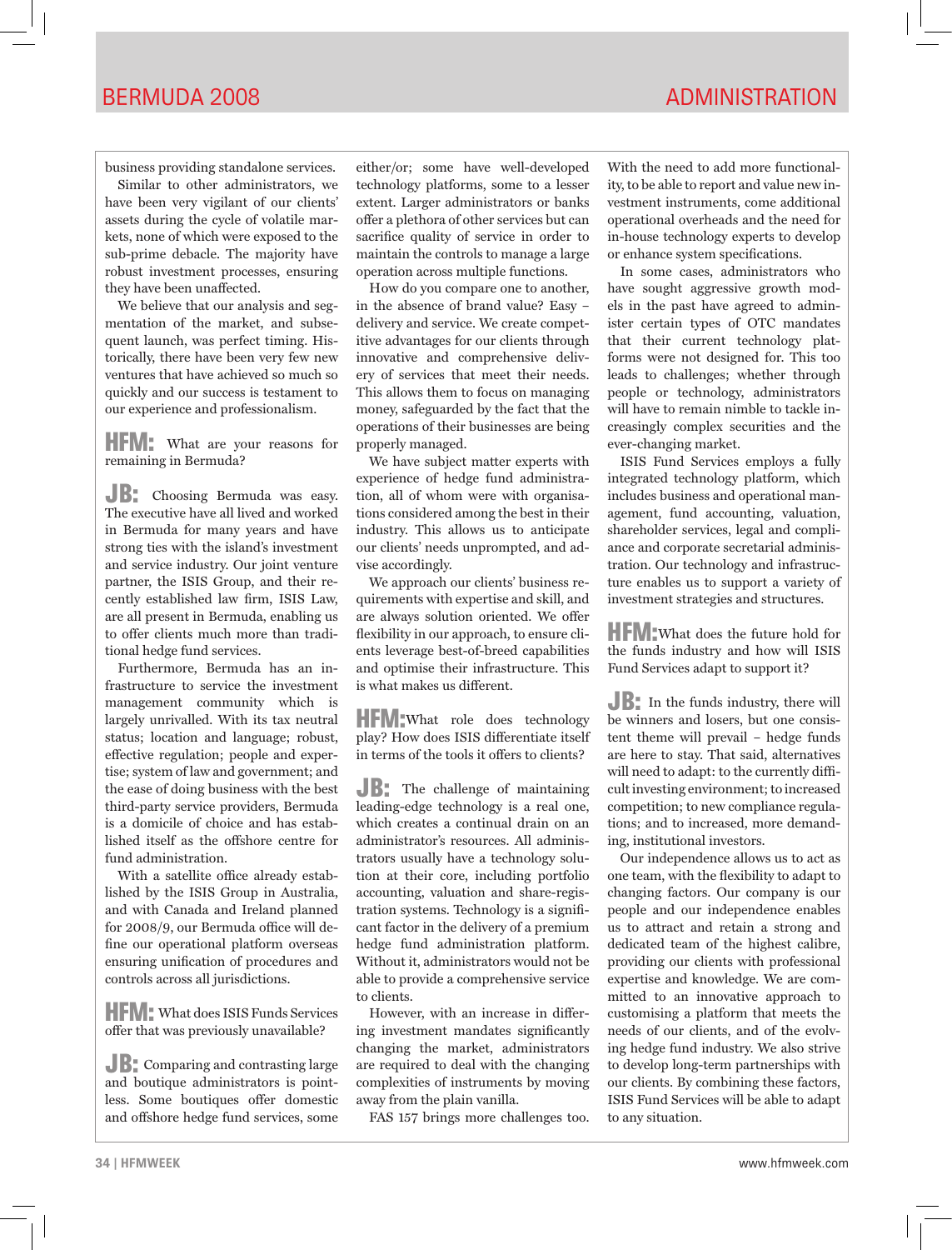business providing standalone services.

Similar to other administrators, we have been very vigilant of our clients' assets during the cycle of volatile markets, none of which were exposed to the sub-prime debacle. The majority have robust investment processes, ensuring they have been unaffected.

We believe that our analysis and segmentation of the market, and subsequent launch, was perfect timing. Historically, there have been very few new ventures that have achieved so much so quickly and our success is testament to our experience and professionalism.

HFM: What are your reasons for remaining in Bermuda?

JB: Choosing Bermuda was easy. The executive have all lived and worked in Bermuda for many years and have strong ties with the island's investment and service industry. Our joint venture partner, the ISIS Group, and their recently established law firm, ISIS Law, are all present in Bermuda, enabling us to offer clients much more than traditional hedge fund services.

Furthermore, Bermuda has an infrastructure to service the investment management community which is largely unrivalled. With its tax neutral status; location and language; robust, effective regulation; people and expertise; system of law and government; and the ease of doing business with the best third-party service providers, Bermuda is a domicile of choice and has established itself as the offshore centre for fund administration.

With a satellite office already established by the ISIS Group in Australia, and with Canada and Ireland planned for 2008/9, our Bermuda office will define our operational platform overseas ensuring unification of procedures and controls across all jurisdictions.

**HFM:** What does ISIS Funds Services offer that was previously unavailable?

JB: Comparing and contrasting large and boutique administrators is pointless. Some boutiques offer domestic and offshore hedge fund services, some

either/or; some have well-developed technology platforms, some to a lesser extent. Larger administrators or banks offer a plethora of other services but can sacrifice quality of service in order to maintain the controls to manage a large operation across multiple functions.

How do you compare one to another, in the absence of brand value? Easy – delivery and service. We create competitive advantages for our clients through innovative and comprehensive delivery of services that meet their needs. This allows them to focus on managing money, safeguarded by the fact that the operations of their businesses are being properly managed.

We have subject matter experts with experience of hedge fund administration, all of whom were with organisations considered among the best in their industry. This allows us to anticipate our clients' needs unprompted, and advise accordingly.

We approach our clients' business requirements with expertise and skill, and are always solution oriented. We offer flexibility in our approach, to ensure clients leverage best-of-breed capabilities and optimise their infrastructure. This is what makes us different.

HFM:What role does technology play? How does ISIS differentiate itself in terms of the tools it offers to clients?

JB: The challenge of maintaining leading-edge technology is a real one, which creates a continual drain on an administrator's resources. All administrators usually have a technology solution at their core, including portfolio accounting, valuation and share-registration systems. Technology is a significant factor in the delivery of a premium hedge fund administration platform. Without it, administrators would not be able to provide a comprehensive service to clients.

However, with an increase in differing investment mandates significantly changing the market, administrators are required to deal with the changing complexities of instruments by moving away from the plain vanilla.

FAS 157 brings more challenges too.

With the need to add more functionality, to be able to report and value new investment instruments, come additional operational overheads and the need for in-house technology experts to develop or enhance system specifications.

In some cases, administrators who have sought aggressive growth models in the past have agreed to administer certain types of OTC mandates that their current technology platforms were not designed for. This too leads to challenges; whether through people or technology, administrators will have to remain nimble to tackle increasingly complex securities and the ever-changing market.

ISIS Fund Services employs a fully integrated technology platform, which includes business and operational management, fund accounting, valuation, shareholder services, legal and compliance and corporate secretarial administration. Our technology and infrastructure enables us to support a variety of investment strategies and structures.

**HFM:** What does the future hold for the funds industry and how will ISIS Fund Services adapt to support it?

**JB:** In the funds industry, there will be winners and losers, but one consistent theme will prevail – hedge funds are here to stay. That said, alternatives will need to adapt: to the currently difficult investing environment; to increased competition; to new compliance regulations; and to increased, more demanding, institutional investors.

Our independence allows us to act as one team, with the flexibility to adapt to changing factors. Our company is our people and our independence enables us to attract and retain a strong and dedicated team of the highest calibre, providing our clients with professional expertise and knowledge. We are committed to an innovative approach to customising a platform that meets the needs of our clients, and of the evolving hedge fund industry. We also strive to develop long-term partnerships with our clients. By combining these factors, ISIS Fund Services will be able to adapt to any situation.